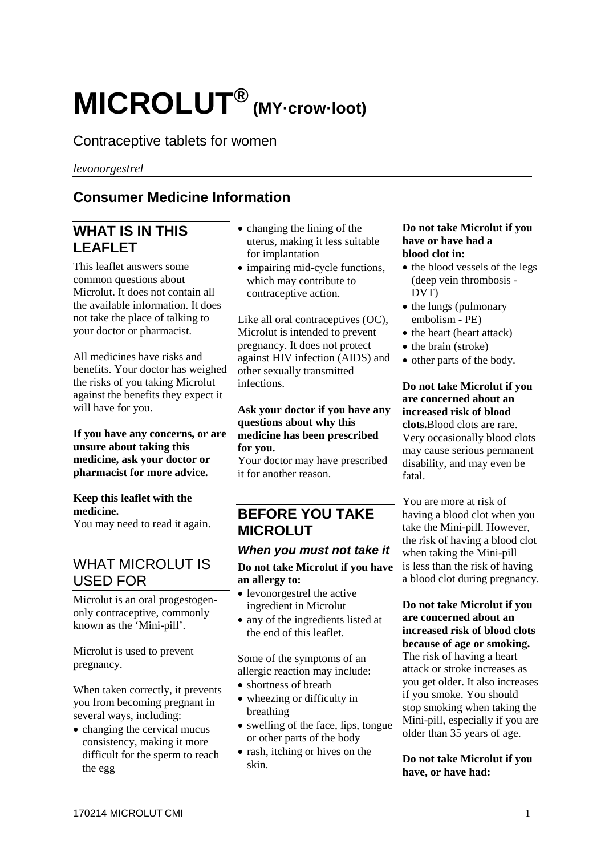# **MICROLUT® (MY·crow·loot)**

# Contraceptive tablets for women

*levonorgestrel*

# **Consumer Medicine Information**

# **WHAT IS IN THIS LEAFLET**

This leaflet answers some common questions about Microlut. It does not contain all the available information. It does not take the place of talking to your doctor or pharmacist.

All medicines have risks and benefits. Your doctor has weighed the risks of you taking Microlut against the benefits they expect it will have for you.

#### **If you have any concerns, or are unsure about taking this medicine, ask your doctor or pharmacist for more advice.**

#### **Keep this leaflet with the medicine.**

You may need to read it again.

# WHAT MICROLUT IS USED FOR

Microlut is an oral progestogenonly contraceptive, commonly known as the 'Mini-pill'.

Microlut is used to prevent pregnancy.

When taken correctly, it prevents you from becoming pregnant in several ways, including:

• changing the cervical mucus consistency, making it more difficult for the sperm to reach the egg

- changing the lining of the uterus, making it less suitable for implantation
- impairing mid-cycle functions. which may contribute to contraceptive action.

Like all oral contraceptives (OC), Microlut is intended to prevent pregnancy. It does not protect against HIV infection (AIDS) and other sexually transmitted infections.

#### **Ask your doctor if you have any questions about why this medicine has been prescribed for you.**

Your doctor may have prescribed it for another reason.

# **BEFORE YOU TAKE MICROLUT**

## *When you must not take it* **Do not take Microlut if you have an allergy to:**

- levonorgestrel the active ingredient in Microlut
- any of the ingredients listed at the end of this leaflet.

Some of the symptoms of an allergic reaction may include:

- shortness of breath
- wheezing or difficulty in breathing
- swelling of the face, lips, tongue or other parts of the body
- rash, itching or hives on the skin.

#### **Do not take Microlut if you have or have had a blood clot in:**

- the blood vessels of the legs (deep vein thrombosis - DVT)
- the lungs (pulmonary embolism - PE)
- the heart (heart attack)
- the brain (stroke)
- other parts of the body.

## **Do not take Microlut if you are concerned about an increased risk of blood clots.**Blood clots are rare.

Very occasionally blood clots may cause serious permanent disability, and may even be fatal.

You are more at risk of having a blood clot when you take the Mini-pill. However, the risk of having a blood clot when taking the Mini-pill is less than the risk of having a blood clot during pregnancy.

#### **Do not take Microlut if you are concerned about an increased risk of blood clots because of age or smoking.**  The risk of having a heart attack or stroke increases as you get older. It also increases if you smoke. You should stop smoking when taking the Mini-pill, especially if you are older than 35 years of age.

#### **Do not take Microlut if you have, or have had:**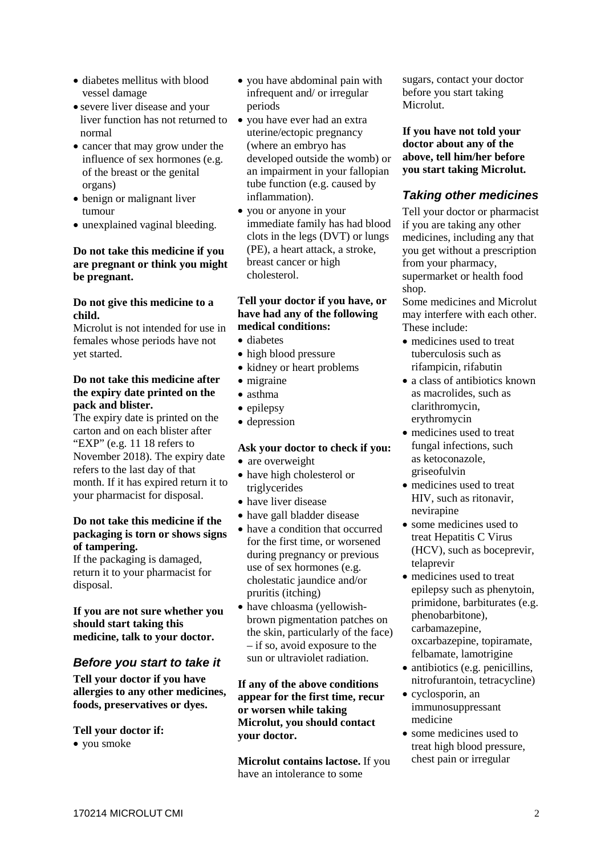- diabetes mellitus with blood vessel damage
- severe liver disease and your liver function has not returned to normal
- cancer that may grow under the influence of sex hormones (e.g. of the breast or the genital organs)
- benign or malignant liver tumour
- unexplained vaginal bleeding.

#### **Do not take this medicine if you are pregnant or think you might be pregnant.**

#### **Do not give this medicine to a child.**

Microlut is not intended for use in females whose periods have not yet started.

#### **Do not take this medicine after the expiry date printed on the pack and blister.**

The expiry date is printed on the carton and on each blister after "EXP" (e.g. 11 18 refers to November 2018). The expiry date refers to the last day of that month. If it has expired return it to your pharmacist for disposal.

#### **Do not take this medicine if the packaging is torn or shows signs of tampering.**

If the packaging is damaged, return it to your pharmacist for disposal.

**If you are not sure whether you should start taking this medicine, talk to your doctor.**

## *Before you start to take it*

**Tell your doctor if you have allergies to any other medicines, foods, preservatives or dyes.**

## **Tell your doctor if:**

• you smoke

- you have abdominal pain with infrequent and/ or irregular periods
- you have ever had an extra uterine/ectopic pregnancy (where an embryo has developed outside the womb) or an impairment in your fallopian tube function (e.g. caused by inflammation).
- you or anyone in your immediate family has had blood clots in the legs (DVT) or lungs (PE), a heart attack, a stroke, breast cancer or high cholesterol.

#### **Tell your doctor if you have, or have had any of the following medical conditions:**

- diabetes
- high blood pressure
- kidney or heart problems
- migraine
- asthma
- epilepsy
- depression

#### **Ask your doctor to check if you:**

- are overweight
- have high cholesterol or triglycerides
- have liver disease
- have gall bladder disease
- have a condition that occurred for the first time, or worsened during pregnancy or previous use of sex hormones (e.g. cholestatic jaundice and/or pruritis (itching)
- have chloasma (yellowishbrown pigmentation patches on the skin, particularly of the face) – if so, avoid exposure to the sun or ultraviolet radiation.

**If any of the above conditions appear for the first time, recur or worsen while taking Microlut, you should contact your doctor.**

**Microlut contains lactose.** If you have an intolerance to some

sugars, contact your doctor before you start taking Microlut.

**If you have not told your doctor about any of the above, tell him/her before you start taking Microlut.**

## *Taking other medicines*

Tell your doctor or pharmacist if you are taking any other medicines, including any that you get without a prescription from your pharmacy, supermarket or health food shop.

Some medicines and Microlut may interfere with each other. These include:

- medicines used to treat tuberculosis such as rifampicin, rifabutin
- a class of antibiotics known as macrolides, such as clarithromycin, erythromycin
- medicines used to treat fungal infections, such as ketoconazole, griseofulvin
- medicines used to treat HIV, such as ritonavir, nevirapine
- some medicines used to treat Hepatitis C Virus (HCV), such as boceprevir, telaprevir
- medicines used to treat epilepsy such as phenytoin, primidone, barbiturates (e.g. phenobarbitone), carbamazepine, oxcarbazepine, topiramate, felbamate, lamotrigine
- antibiotics (e.g. penicillins, nitrofurantoin, tetracycline)
- cyclosporin, an immunosuppressant medicine
- some medicines used to treat high blood pressure, chest pain or irregular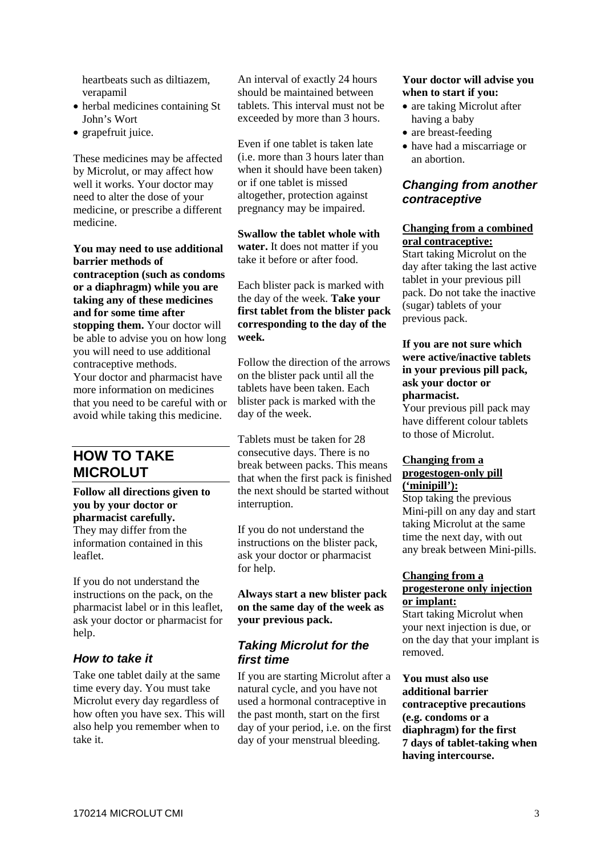heartbeats such as diltiazem, verapamil

- herbal medicines containing St John's Wort
- grapefruit juice.

These medicines may be affected by Microlut, or may affect how well it works. Your doctor may need to alter the dose of your medicine, or prescribe a different medicine.

**You may need to use additional barrier methods of contraception (such as condoms or a diaphragm) while you are taking any of these medicines and for some time after stopping them.** Your doctor will be able to advise you on how long you will need to use additional contraceptive methods. Your doctor and pharmacist have more information on medicines that you need to be careful with or avoid while taking this medicine.

# **HOW TO TAKE MICROLUT**

**Follow all directions given to you by your doctor or pharmacist carefully.**

They may differ from the information contained in this leaflet.

If you do not understand the instructions on the pack, on the pharmacist label or in this leaflet, ask your doctor or pharmacist for help.

## *How to take it*

Take one tablet daily at the same time every day. You must take Microlut every day regardless of how often you have sex. This will also help you remember when to take it.

An interval of exactly 24 hours should be maintained between tablets. This interval must not be exceeded by more than 3 hours.

Even if one tablet is taken late (i.e. more than 3 hours later than when it should have been taken) or if one tablet is missed altogether, protection against pregnancy may be impaired.

**Swallow the tablet whole with water.** It does not matter if you take it before or after food.

Each blister pack is marked with the day of the week. **Take your first tablet from the blister pack corresponding to the day of the week.**

Follow the direction of the arrows on the blister pack until all the tablets have been taken. Each blister pack is marked with the day of the week.

Tablets must be taken for 28 consecutive days. There is no break between packs. This means that when the first pack is finished the next should be started without interruption.

If you do not understand the instructions on the blister pack, ask your doctor or pharmacist for help.

**Always start a new blister pack on the same day of the week as your previous pack.**

## *Taking Microlut for the first time*

If you are starting Microlut after a natural cycle, and you have not used a hormonal contraceptive in the past month, start on the first day of your period, i.e. on the first day of your menstrual bleeding.

#### **Your doctor will advise you when to start if you:**

- are taking Microlut after having a baby
- are breast-feeding
- have had a miscarriage or an abortion.

## *Changing from another contraceptive*

#### **Changing from a combined oral contraceptive:**

Start taking Microlut on the day after taking the last active tablet in your previous pill pack. Do not take the inactive (sugar) tablets of your previous pack.

#### **If you are not sure which were active/inactive tablets in your previous pill pack, ask your doctor or pharmacist.**

Your previous pill pack may have different colour tablets to those of Microlut.

#### **Changing from a progestogen-only pill ('minipill'):**

Stop taking the previous Mini-pill on any day and start taking Microlut at the same time the next day, with out any break between Mini-pills.

#### **Changing from a progesterone only injection or implant:**

Start taking Microlut when your next injection is due, or on the day that your implant is removed.

**You must also use additional barrier contraceptive precautions (e.g. condoms or a diaphragm) for the first 7 days of tablet-taking when having intercourse.**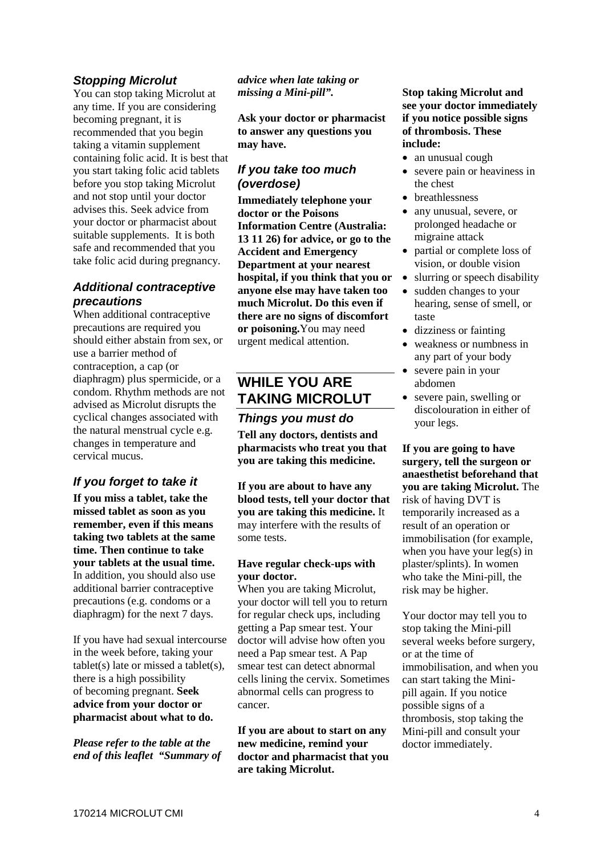## *Stopping Microlut*

You can stop taking Microlut at any time. If you are considering becoming pregnant, it is recommended that you begin taking a vitamin supplement containing folic acid. It is best that you start taking folic acid tablets before you stop taking Microlut and not stop until your doctor advises this. Seek advice from your doctor or pharmacist about suitable supplements. It is both safe and recommended that you take folic acid during pregnancy.

## *Additional contraceptive precautions*

When additional contraceptive precautions are required you should either abstain from sex, or use a barrier method of contraception, a cap (or diaphragm) plus spermicide, or a condom. Rhythm methods are not advised as Microlut disrupts the cyclical changes associated with the natural menstrual cycle e.g. changes in temperature and cervical mucus.

## *If you forget to take it*

**If you miss a tablet, take the missed tablet as soon as you remember, even if this means taking two tablets at the same time. Then continue to take your tablets at the usual time.** In addition, you should also use additional barrier contraceptive precautions (e.g. condoms or a diaphragm) for the next 7 days.

If you have had sexual intercourse in the week before, taking your tablet(s) late or missed a tablet(s), there is a high possibility of becoming pregnant. **Seek advice from your doctor or pharmacist about what to do.** 

*Please refer to the table at the end of this leaflet "Summary of*  *advice when late taking or missing a Mini-pill".*

**Ask your doctor or pharmacist to answer any questions you may have.**

#### *If you take too much (overdose)*

**Immediately telephone your doctor or the Poisons Information Centre (Australia: 13 11 26) for advice, or go to the Accident and Emergency Department at your nearest hospital, if you think that you or anyone else may have taken too much Microlut. Do this even if there are no signs of discomfort or poisoning.**You may need urgent medical attention.

## **WHILE YOU ARE TAKING MICROLUT**

#### *Things you must do*

**Tell any doctors, dentists and pharmacists who treat you that you are taking this medicine.**

**If you are about to have any blood tests, tell your doctor that you are taking this medicine.** It may interfere with the results of some tests.

#### **Have regular check-ups with your doctor.**

When you are taking Microlut, your doctor will tell you to return for regular check ups, including getting a Pap smear test. Your doctor will advise how often you need a Pap smear test. A Pap smear test can detect abnormal cells lining the cervix. Sometimes abnormal cells can progress to cancer.

**If you are about to start on any new medicine, remind your doctor and pharmacist that you are taking Microlut.**

#### **Stop taking Microlut and see your doctor immediately if you notice possible signs of thrombosis. These include:**

- an unusual cough
- severe pain or heaviness in the chest
- breathlessness
- any unusual, severe, or prolonged headache or migraine attack
- partial or complete loss of vision, or double vision
- slurring or speech disability
- sudden changes to your hearing, sense of smell, or taste
- dizziness or fainting
- weakness or numbness in any part of your body
- severe pain in your abdomen
- severe pain, swelling or discolouration in either of your legs.

**If you are going to have surgery, tell the surgeon or anaesthetist beforehand that you are taking Microlut.** The risk of having DVT is temporarily increased as a result of an operation or immobilisation (for example, when you have your leg(s) in plaster/splints). In women who take the Mini-pill, the risk may be higher.

Your doctor may tell you to stop taking the Mini-pill several weeks before surgery, or at the time of immobilisation, and when you can start taking the Minipill again. If you notice possible signs of a thrombosis, stop taking the Mini-pill and consult your doctor immediately.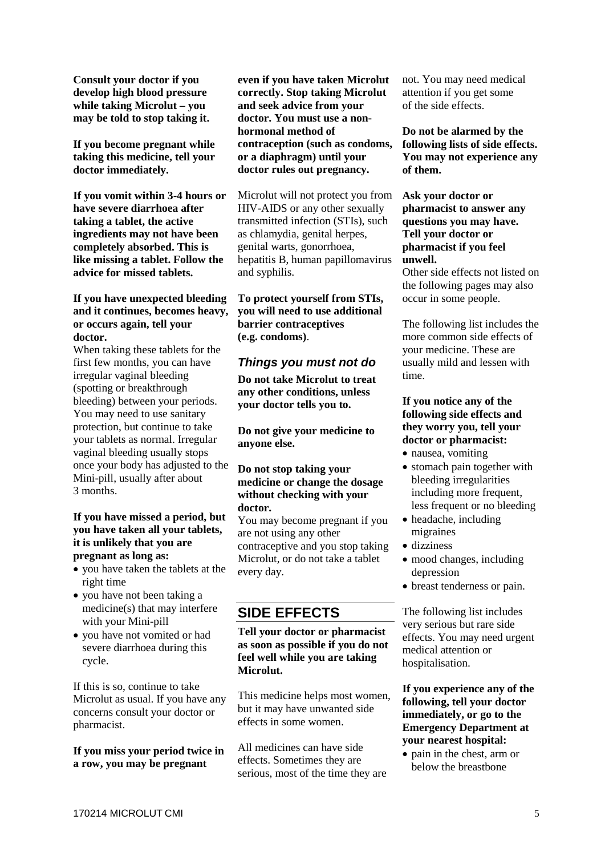**Consult your doctor if you develop high blood pressure while taking Microlut – you may be told to stop taking it.**

**If you become pregnant while taking this medicine, tell your doctor immediately.**

**If you vomit within 3-4 hours or have severe diarrhoea after taking a tablet, the active ingredients may not have been completely absorbed. This is like missing a tablet. Follow the advice for missed tablets.**

#### **If you have unexpected bleeding and it continues, becomes heavy, or occurs again, tell your doctor.**

When taking these tablets for the first few months, you can have irregular vaginal bleeding (spotting or breakthrough bleeding) between your periods. You may need to use sanitary protection, but continue to take your tablets as normal. Irregular vaginal bleeding usually stops once your body has adjusted to the Mini-pill, usually after about 3 months.

#### **If you have missed a period, but you have taken all your tablets, it is unlikely that you are pregnant as long as:**

- you have taken the tablets at the right time
- you have not been taking a medicine(s) that may interfere with your Mini-pill
- you have not vomited or had severe diarrhoea during this cycle.

If this is so, continue to take Microlut as usual. If you have any concerns consult your doctor or pharmacist.

**If you miss your period twice in a row, you may be pregnant**

**even if you have taken Microlut correctly. Stop taking Microlut and seek advice from your doctor. You must use a nonhormonal method of contraception (such as condoms, or a diaphragm) until your doctor rules out pregnancy.** 

Microlut will not protect you from HIV-AIDS or any other sexually transmitted infection (STIs), such as chlamydia, genital herpes, genital warts, gonorrhoea, hepatitis B, human papillomavirus and syphilis.

**To protect yourself from STIs, you will need to use additional barrier contraceptives (e.g. condoms)**.

## *Things you must not do*

**Do not take Microlut to treat any other conditions, unless your doctor tells you to.**

**Do not give your medicine to anyone else.** 

#### **Do not stop taking your medicine or change the dosage without checking with your doctor.**

You may become pregnant if you are not using any other contraceptive and you stop taking Microlut, or do not take a tablet every day.

# **SIDE EFFECTS**

#### **Tell your doctor or pharmacist as soon as possible if you do not feel well while you are taking Microlut.**

This medicine helps most women, but it may have unwanted side effects in some women.

All medicines can have side effects. Sometimes they are serious, most of the time they are not. You may need medical attention if you get some of the side effects.

**Do not be alarmed by the following lists of side effects. You may not experience any of them.**

**Ask your doctor or pharmacist to answer any questions you may have. Tell your doctor or pharmacist if you feel unwell.**

Other side effects not listed on the following pages may also occur in some people.

The following list includes the more common side effects of your medicine. These are usually mild and lessen with time.

#### **If you notice any of the following side effects and they worry you, tell your doctor or pharmacist:**

- nausea, vomiting
- stomach pain together with bleeding irregularities including more frequent, less frequent or no bleeding
- headache, including migraines
- dizziness
- mood changes, including depression
- breast tenderness or pain.

The following list includes very serious but rare side effects. You may need urgent medical attention or hospitalisation.

#### **If you experience any of the following, tell your doctor immediately, or go to the Emergency Department at your nearest hospital:**

• pain in the chest, arm or below the breastbone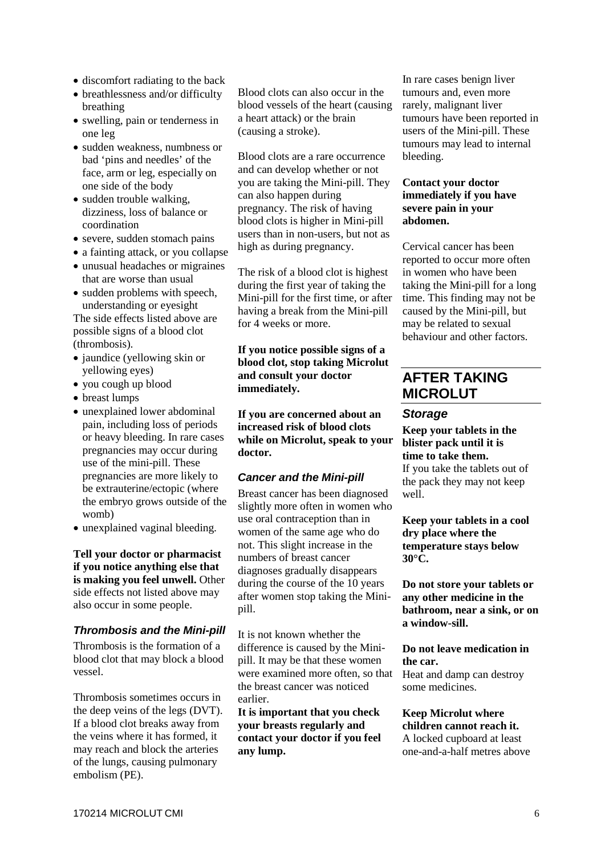- discomfort radiating to the back
- breathlessness and/or difficulty breathing
- swelling, pain or tenderness in one leg
- sudden weakness, numbness or bad 'pins and needles' of the face, arm or leg, especially on one side of the body
- sudden trouble walking, dizziness, loss of balance or coordination
- severe, sudden stomach pains
- a fainting attack, or you collapse
- unusual headaches or migraines that are worse than usual
- sudden problems with speech, understanding or eyesight

The side effects listed above are possible signs of a blood clot (thrombosis).

- jaundice (yellowing skin or yellowing eyes)
- you cough up blood
- breast lumps
- unexplained lower abdominal pain, including loss of periods or heavy bleeding. In rare cases pregnancies may occur during use of the mini-pill. These pregnancies are more likely to be extrauterine/ectopic (where the embryo grows outside of the womb)
- unexplained vaginal bleeding.

**Tell your doctor or pharmacist if you notice anything else that is making you feel unwell.** Other side effects not listed above may also occur in some people.

#### *Thrombosis and the Mini-pill*

Thrombosis is the formation of a blood clot that may block a blood vessel.

Thrombosis sometimes occurs in the deep veins of the legs (DVT). If a blood clot breaks away from the veins where it has formed, it may reach and block the arteries of the lungs, causing pulmonary embolism (PE).

Blood clots can also occur in the blood vessels of the heart (causing a heart attack) or the brain (causing a stroke).

Blood clots are a rare occurrence and can develop whether or not you are taking the Mini-pill. They can also happen during pregnancy. The risk of having blood clots is higher in Mini-pill users than in non-users, but not as high as during pregnancy.

The risk of a blood clot is highest during the first year of taking the Mini-pill for the first time, or after having a break from the Mini-pill for 4 weeks or more.

**If you notice possible signs of a blood clot, stop taking Microlut and consult your doctor immediately.** 

**If you are concerned about an increased risk of blood clots while on Microlut, speak to your doctor.**

#### *Cancer and the Mini-pill*

Breast cancer has been diagnosed slightly more often in women who use oral contraception than in women of the same age who do not. This slight increase in the numbers of breast cancer diagnoses gradually disappears during the course of the 10 years after women stop taking the Minipill.

It is not known whether the difference is caused by the Minipill. It may be that these women were examined more often, so that the breast cancer was noticed earlier.

**It is important that you check your breasts regularly and contact your doctor if you feel any lump.**

In rare cases benign liver tumours and, even more rarely, malignant liver tumours have been reported in users of the Mini-pill. These tumours may lead to internal bleeding.

#### **Contact your doctor immediately if you have severe pain in your abdomen.**

Cervical cancer has been reported to occur more often in women who have been taking the Mini-pill for a long time. This finding may not be caused by the Mini-pill, but may be related to sexual behaviour and other factors.

# **AFTER TAKING MICROLUT**

#### *Storage*

**Keep your tablets in the blister pack until it is time to take them.** If you take the tablets out of the pack they may not keep well.

**Keep your tablets in a cool dry place where the temperature stays below 30°C.**

**Do not store your tablets or any other medicine in the bathroom, near a sink, or on a window-sill.**

**Do not leave medication in the car.**

Heat and damp can destroy some medicines.

#### **Keep Microlut where children cannot reach it.** A locked cupboard at least one-and-a-half metres above